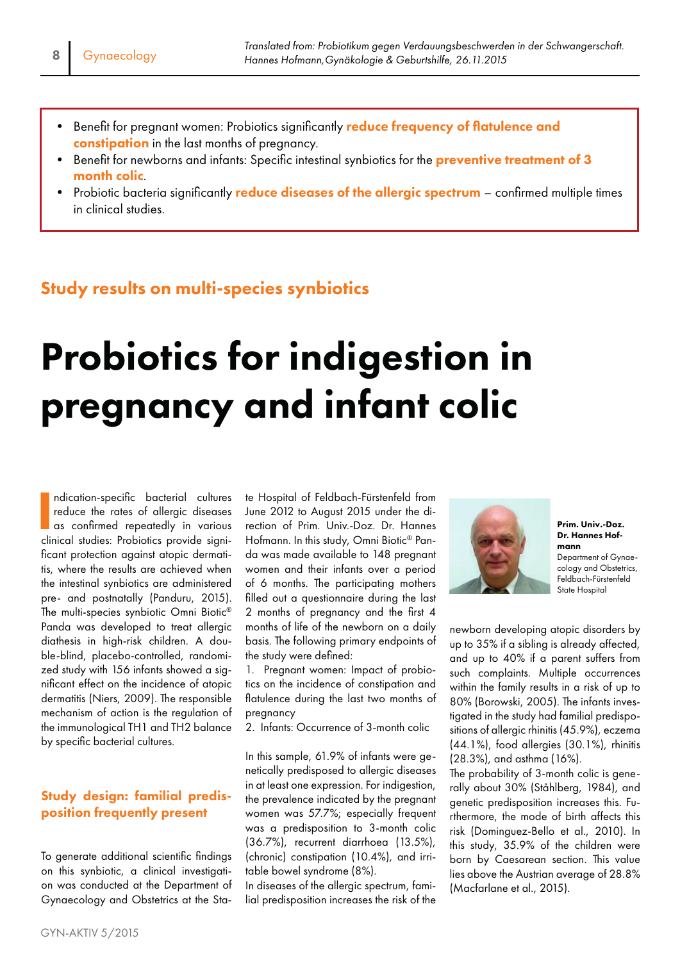- Benefit for pregnant women: Probiotics significantly reduce frequency of flatulence and constipation in the last months of pregnancy.
- Benefit for newborns and infants: Specific intestinal synbiotics for the **preventive treatment of 3** month colic.
- Probiotic bacteria significantly reduce diseases of the allergic spectrum confirmed multiple times in clinical studies.

## Study results on multi-species synbiotics

# Probiotics for indigestion in pregnancy and infant colic

ndication-specific bacterial cultures<br>reduce the rates of allergic diseases<br>as confirmed repeatedly in various<br>clinical studies: Probiotics provide signindication-specific bacterial cultures reduce the rates of allergic diseases as confirmed repeatedly in various ficant protection against atopic dermatitis, where the results are achieved when the intestinal synbiotics are administered pre- and postnatally (Panduru, 2015). The multi-species synbiotic Omni Biotic® Panda was developed to treat allergic diathesis in high-risk children. A double-blind, placebo-controlled, randomized study with 156 infants showed a significant effect on the incidence of atopic dermatitis (Niers, 2009). The responsible mechanism of action is the regulation of the immunological TH1 and TH2 balance by specific bacterial cultures.

### Study design: familial predisposition frequently present

To generate additional scientific findings on this synbiotic, a clinical investigation was conducted at the Department of Gynaecology and Obstetrics at the State Hospital of Feldbach-Fürstenfeld from June 2012 to August 2015 under the direction of Prim. Univ.-Doz. Dr. Hannes Hofmann. In this study, Omni Biotic® Panda was made available to 148 pregnant women and their infants over a period of 6 months. The participating mothers filled out a questionnaire during the last 2 months of pregnancy and the first 4 months of life of the newborn on a daily basis. The following primary endpoints of the study were defined:

1. Pregnant women: Impact of probiotics on the incidence of constipation and flatulence during the last two months of pregnancy

2. Infants: Occurrence of 3-month colic

In this sample, 61.9% of infants were genetically predisposed to allergic diseases in at least one expression. For indigestion, the prevalence indicated by the pregnant women was 57.7%; especially frequent was a predisposition to 3-month colic (36.7%), recurrent diarrhoea (13.5%), (chronic) constipation (10.4%), and irritable bowel syndrome (8%).

In diseases of the allergic spectrum, familial predisposition increases the risk of the



Prim. Univ.-Doz. Dr. Hannes Hofmann Department of Gynaecology and Obstetrics, Feldbach-Fürstenfeld State Hospital

newborn developing atopic disorders by up to 35% if a sibling is already affected, and up to 40% if a parent suffers from such complaints. Multiple occurrences within the family results in a risk of up to 80% (Borowski, 2005). The infants investigated in the study had familial predispositions of allergic rhinitis (45.9%), eczema (44.1%), food allergies (30.1%), rhinitis (28.3%), and asthma (16%).

The probability of 3-month colic is generally about 30% (Ståhlberg, 1984), and genetic predisposition increases this. Furthermore, the mode of birth affects this risk (Dominguez-Bello et al., 2010). In this study, 35.9% of the children were born by Caesarean section. This value lies above the Austrian average of 28.8% (Macfarlane et al., 2015).